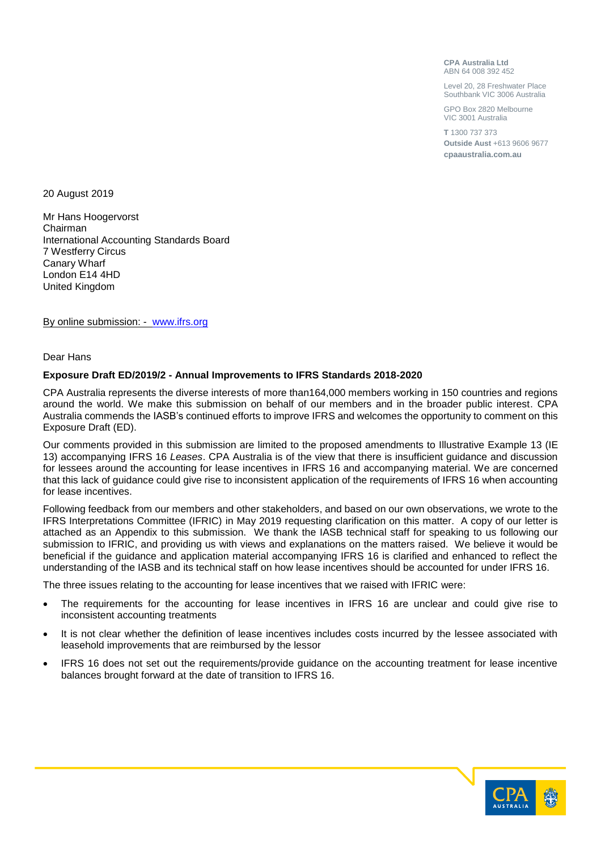**CPA Australia Ltd** ABN 64 008 392 452

Level 20, 28 Freshwater Place Southbank VIC 3006 Australia

GPO Box 2820 Melbourne VIC 3001 Australia

**T** 1300 737 373 **Outside Aust** +613 9606 9677 **cpaaustralia.com.au**

20 August 2019

Mr Hans Hoogervorst Chairman International Accounting Standards Board 7 Westferry Circus Canary Wharf London E14 4HD United Kingdom

By online submission: - [www.ifrs.org](http://www.ifrs.org/)

Dear Hans

# **Exposure Draft ED/2019/2 - Annual Improvements to IFRS Standards 2018-2020**

CPA Australia represents the diverse interests of more than164,000 members working in 150 countries and regions around the world. We make this submission on behalf of our members and in the broader public interest. CPA Australia commends the IASB's continued efforts to improve IFRS and welcomes the opportunity to comment on this Exposure Draft (ED).

Our comments provided in this submission are limited to the proposed amendments to Illustrative Example 13 (IE 13) accompanying IFRS 16 *Leases*. CPA Australia is of the view that there is insufficient guidance and discussion for lessees around the accounting for lease incentives in IFRS 16 and accompanying material. We are concerned that this lack of guidance could give rise to inconsistent application of the requirements of IFRS 16 when accounting for lease incentives.

Following feedback from our members and other stakeholders, and based on our own observations, we wrote to the IFRS Interpretations Committee (IFRIC) in May 2019 requesting clarification on this matter. A copy of our letter is attached as an Appendix to this submission. We thank the IASB technical staff for speaking to us following our submission to IFRIC, and providing us with views and explanations on the matters raised. We believe it would be beneficial if the guidance and application material accompanying IFRS 16 is clarified and enhanced to reflect the understanding of the IASB and its technical staff on how lease incentives should be accounted for under IFRS 16.

The three issues relating to the accounting for lease incentives that we raised with IFRIC were:

- The requirements for the accounting for lease incentives in IFRS 16 are unclear and could give rise to inconsistent accounting treatments
- It is not clear whether the definition of lease incentives includes costs incurred by the lessee associated with leasehold improvements that are reimbursed by the lessor
- IFRS 16 does not set out the requirements/provide guidance on the accounting treatment for lease incentive balances brought forward at the date of transition to IFRS 16.

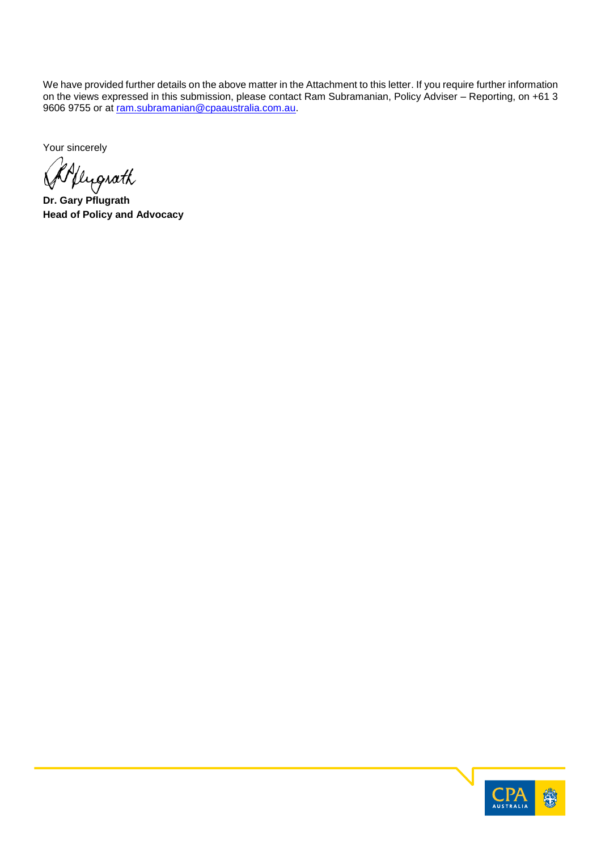We have provided further details on the above matter in the Attachment to this letter. If you require further information on the views expressed in this submission, please contact Ram Subramanian, Policy Adviser – Reporting, on +61 3 9606 9755 or at <u>ram.subramanian@cpaaustralia.com.au</u>.

Your sincerely

**Dr. Gary Pflugrath**

**Head of Policy and Advocacy**

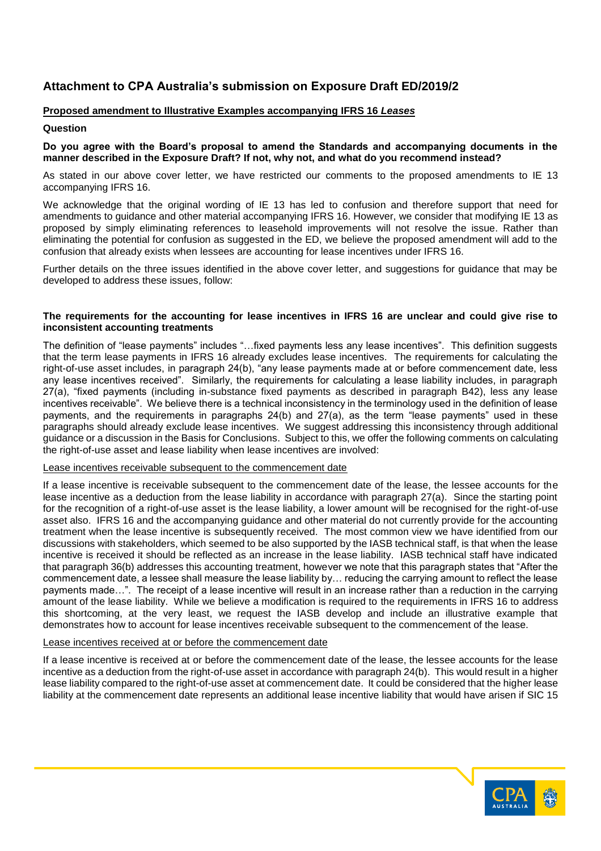# **Attachment to CPA Australia's submission on Exposure Draft ED/2019/2**

# **Proposed amendment to Illustrative Examples accompanying IFRS 16** *Leases*

## **Question**

### **Do you agree with the Board's proposal to amend the Standards and accompanying documents in the manner described in the Exposure Draft? If not, why not, and what do you recommend instead?**

As stated in our above cover letter, we have restricted our comments to the proposed amendments to IE 13 accompanying IFRS 16.

We acknowledge that the original wording of IE 13 has led to confusion and therefore support that need for amendments to guidance and other material accompanying IFRS 16. However, we consider that modifying IE 13 as proposed by simply eliminating references to leasehold improvements will not resolve the issue. Rather than eliminating the potential for confusion as suggested in the ED, we believe the proposed amendment will add to the confusion that already exists when lessees are accounting for lease incentives under IFRS 16.

Further details on the three issues identified in the above cover letter, and suggestions for guidance that may be developed to address these issues, follow:

### **The requirements for the accounting for lease incentives in IFRS 16 are unclear and could give rise to inconsistent accounting treatments**

The definition of "lease payments" includes "…fixed payments less any lease incentives". This definition suggests that the term lease payments in IFRS 16 already excludes lease incentives. The requirements for calculating the right-of-use asset includes, in paragraph 24(b), "any lease payments made at or before commencement date, less any lease incentives received". Similarly, the requirements for calculating a lease liability includes, in paragraph 27(a), "fixed payments (including in-substance fixed payments as described in paragraph B42), less any lease incentives receivable". We believe there is a technical inconsistency in the terminology used in the definition of lease payments, and the requirements in paragraphs 24(b) and 27(a), as the term "lease payments" used in these paragraphs should already exclude lease incentives. We suggest addressing this inconsistency through additional guidance or a discussion in the Basis for Conclusions. Subject to this, we offer the following comments on calculating the right-of-use asset and lease liability when lease incentives are involved:

#### Lease incentives receivable subsequent to the commencement date

If a lease incentive is receivable subsequent to the commencement date of the lease, the lessee accounts for the lease incentive as a deduction from the lease liability in accordance with paragraph 27(a). Since the starting point for the recognition of a right-of-use asset is the lease liability, a lower amount will be recognised for the right-of-use asset also. IFRS 16 and the accompanying guidance and other material do not currently provide for the accounting treatment when the lease incentive is subsequently received. The most common view we have identified from our discussions with stakeholders, which seemed to be also supported by the IASB technical staff, is that when the lease incentive is received it should be reflected as an increase in the lease liability. IASB technical staff have indicated that paragraph 36(b) addresses this accounting treatment, however we note that this paragraph states that "After the commencement date, a lessee shall measure the lease liability by… reducing the carrying amount to reflect the lease payments made…". The receipt of a lease incentive will result in an increase rather than a reduction in the carrying amount of the lease liability. While we believe a modification is required to the requirements in IFRS 16 to address this shortcoming, at the very least, we request the IASB develop and include an illustrative example that demonstrates how to account for lease incentives receivable subsequent to the commencement of the lease.

#### Lease incentives received at or before the commencement date

If a lease incentive is received at or before the commencement date of the lease, the lessee accounts for the lease incentive as a deduction from the right-of-use asset in accordance with paragraph 24(b). This would result in a higher lease liability compared to the right-of-use asset at commencement date. It could be considered that the higher lease liability at the commencement date represents an additional lease incentive liability that would have arisen if SIC 15

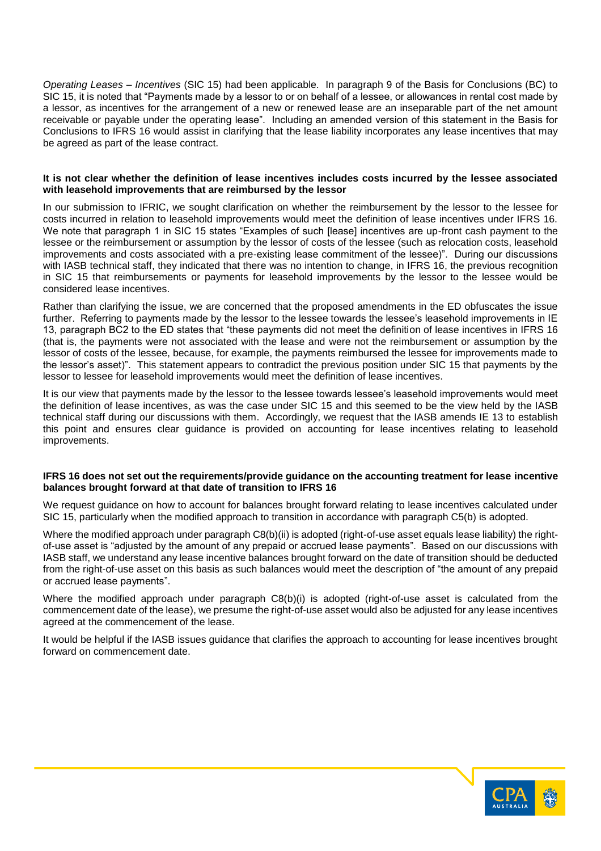*Operating Leases – Incentives* (SIC 15) had been applicable. In paragraph 9 of the Basis for Conclusions (BC) to SIC 15, it is noted that "Payments made by a lessor to or on behalf of a lessee, or allowances in rental cost made by a lessor, as incentives for the arrangement of a new or renewed lease are an inseparable part of the net amount receivable or payable under the operating lease". Including an amended version of this statement in the Basis for Conclusions to IFRS 16 would assist in clarifying that the lease liability incorporates any lease incentives that may be agreed as part of the lease contract.

#### **It is not clear whether the definition of lease incentives includes costs incurred by the lessee associated with leasehold improvements that are reimbursed by the lessor**

In our submission to IFRIC, we sought clarification on whether the reimbursement by the lessor to the lessee for costs incurred in relation to leasehold improvements would meet the definition of lease incentives under IFRS 16. We note that paragraph 1 in SIC 15 states "Examples of such [lease] incentives are up-front cash payment to the lessee or the reimbursement or assumption by the lessor of costs of the lessee (such as relocation costs, leasehold improvements and costs associated with a pre-existing lease commitment of the lessee)". During our discussions with IASB technical staff, they indicated that there was no intention to change, in IFRS 16, the previous recognition in SIC 15 that reimbursements or payments for leasehold improvements by the lessor to the lessee would be considered lease incentives.

Rather than clarifying the issue, we are concerned that the proposed amendments in the ED obfuscates the issue further. Referring to payments made by the lessor to the lessee towards the lessee's leasehold improvements in IE 13, paragraph BC2 to the ED states that "these payments did not meet the definition of lease incentives in IFRS 16 (that is, the payments were not associated with the lease and were not the reimbursement or assumption by the lessor of costs of the lessee, because, for example, the payments reimbursed the lessee for improvements made to the lessor's asset)". This statement appears to contradict the previous position under SIC 15 that payments by the lessor to lessee for leasehold improvements would meet the definition of lease incentives.

It is our view that payments made by the lessor to the lessee towards lessee's leasehold improvements would meet the definition of lease incentives, as was the case under SIC 15 and this seemed to be the view held by the IASB technical staff during our discussions with them. Accordingly, we request that the IASB amends IE 13 to establish this point and ensures clear guidance is provided on accounting for lease incentives relating to leasehold improvements.

#### **IFRS 16 does not set out the requirements/provide guidance on the accounting treatment for lease incentive balances brought forward at that date of transition to IFRS 16**

We request guidance on how to account for balances brought forward relating to lease incentives calculated under SIC 15, particularly when the modified approach to transition in accordance with paragraph C5(b) is adopted.

Where the modified approach under paragraph C8(b)(ii) is adopted (right-of-use asset equals lease liability) the rightof-use asset is "adjusted by the amount of any prepaid or accrued lease payments". Based on our discussions with IASB staff, we understand any lease incentive balances brought forward on the date of transition should be deducted from the right-of-use asset on this basis as such balances would meet the description of "the amount of any prepaid or accrued lease payments".

Where the modified approach under paragraph C8(b)(i) is adopted (right-of-use asset is calculated from the commencement date of the lease), we presume the right-of-use asset would also be adjusted for any lease incentives agreed at the commencement of the lease.

It would be helpful if the IASB issues guidance that clarifies the approach to accounting for lease incentives brought forward on commencement date.

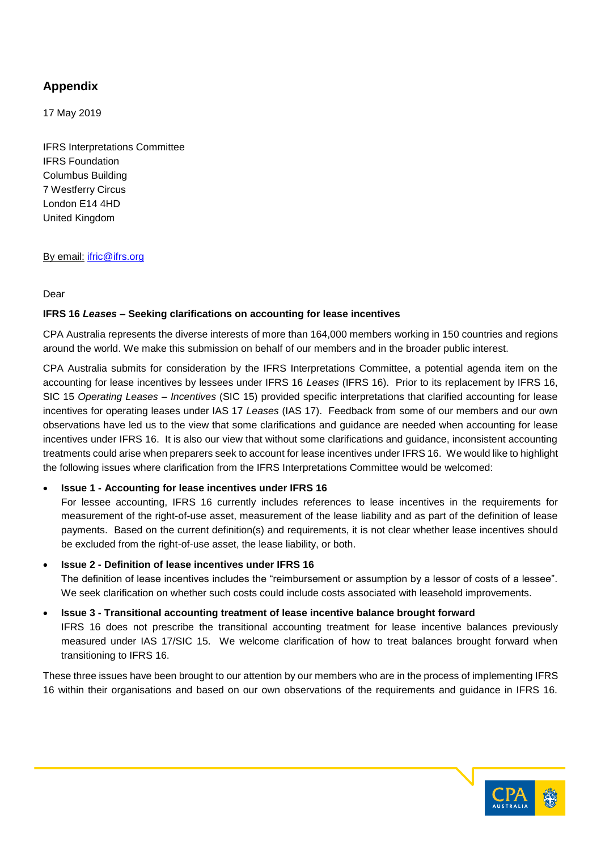# **Appendix**

17 May 2019

IFRS Interpretations Committee IFRS Foundation Columbus Building 7 Westferry Circus London E14 4HD United Kingdom

# By email: [ifric@ifrs.org](mailto:ifric@ifrs.org)

# Dear

# **IFRS 16** *Leases* **– Seeking clarifications on accounting for lease incentives**

CPA Australia represents the diverse interests of more than 164,000 members working in 150 countries and regions around the world. We make this submission on behalf of our members and in the broader public interest.

CPA Australia submits for consideration by the IFRS Interpretations Committee, a potential agenda item on the accounting for lease incentives by lessees under IFRS 16 *Leases* (IFRS 16). Prior to its replacement by IFRS 16, SIC 15 *Operating Leases – Incentives* (SIC 15) provided specific interpretations that clarified accounting for lease incentives for operating leases under IAS 17 *Leases* (IAS 17). Feedback from some of our members and our own observations have led us to the view that some clarifications and guidance are needed when accounting for lease incentives under IFRS 16. It is also our view that without some clarifications and guidance, inconsistent accounting treatments could arise when preparers seek to account for lease incentives under IFRS 16. We would like to highlight the following issues where clarification from the IFRS Interpretations Committee would be welcomed:

# • **Issue 1 - Accounting for lease incentives under IFRS 16**

For lessee accounting, IFRS 16 currently includes references to lease incentives in the requirements for measurement of the right-of-use asset, measurement of the lease liability and as part of the definition of lease payments. Based on the current definition(s) and requirements, it is not clear whether lease incentives should be excluded from the right-of-use asset, the lease liability, or both.

# • **Issue 2 - Definition of lease incentives under IFRS 16**

The definition of lease incentives includes the "reimbursement or assumption by a lessor of costs of a lessee". We seek clarification on whether such costs could include costs associated with leasehold improvements.

# • **Issue 3 - Transitional accounting treatment of lease incentive balance brought forward**

IFRS 16 does not prescribe the transitional accounting treatment for lease incentive balances previously measured under IAS 17/SIC 15. We welcome clarification of how to treat balances brought forward when transitioning to IFRS 16.

These three issues have been brought to our attention by our members who are in the process of implementing IFRS 16 within their organisations and based on our own observations of the requirements and guidance in IFRS 16.

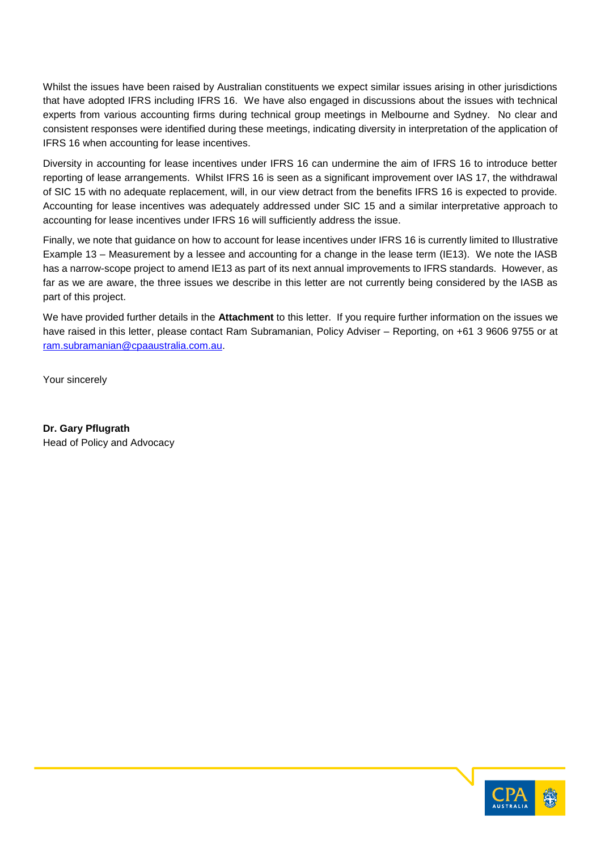Whilst the issues have been raised by Australian constituents we expect similar issues arising in other jurisdictions that have adopted IFRS including IFRS 16. We have also engaged in discussions about the issues with technical experts from various accounting firms during technical group meetings in Melbourne and Sydney. No clear and consistent responses were identified during these meetings, indicating diversity in interpretation of the application of IFRS 16 when accounting for lease incentives.

Diversity in accounting for lease incentives under IFRS 16 can undermine the aim of IFRS 16 to introduce better reporting of lease arrangements. Whilst IFRS 16 is seen as a significant improvement over IAS 17, the withdrawal of SIC 15 with no adequate replacement, will, in our view detract from the benefits IFRS 16 is expected to provide. Accounting for lease incentives was adequately addressed under SIC 15 and a similar interpretative approach to accounting for lease incentives under IFRS 16 will sufficiently address the issue.

Finally, we note that guidance on how to account for lease incentives under IFRS 16 is currently limited to Illustrative Example 13 – Measurement by a lessee and accounting for a change in the lease term (IE13). We note the IASB has a narrow-scope project to amend IE13 as part of its next annual improvements to IFRS standards. However, as far as we are aware, the three issues we describe in this letter are not currently being considered by the IASB as part of this project.

We have provided further details in the **Attachment** to this letter. If you require further information on the issues we have raised in this letter, please contact Ram Subramanian, Policy Adviser – Reporting, on +61 3 9606 9755 or at [ram.subramanian@cpaaustralia.com.au.](mailto:ram.subramanian@cpaaustralia.com.au)

Your sincerely

**Dr. Gary Pflugrath** Head of Policy and Advocacy

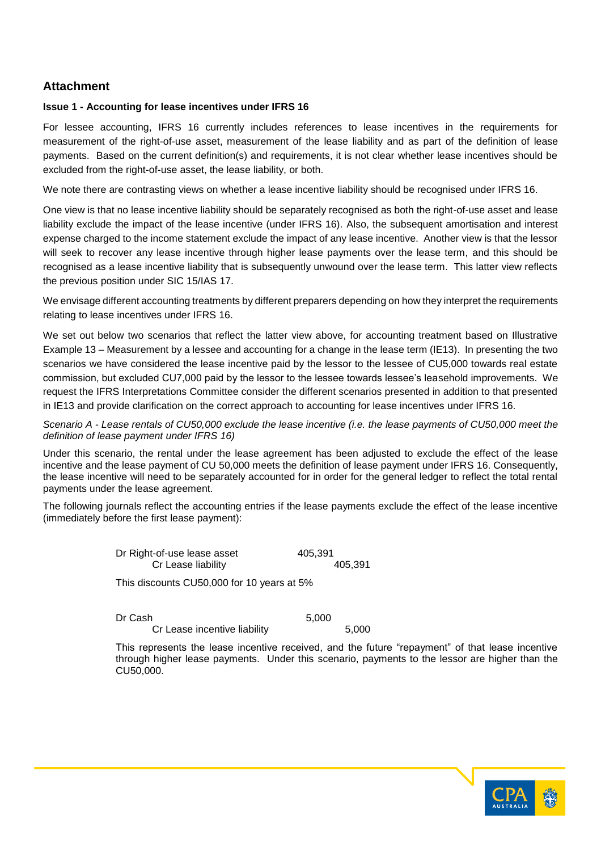# **Attachment**

# **Issue 1 - Accounting for lease incentives under IFRS 16**

For lessee accounting, IFRS 16 currently includes references to lease incentives in the requirements for measurement of the right-of-use asset, measurement of the lease liability and as part of the definition of lease payments. Based on the current definition(s) and requirements, it is not clear whether lease incentives should be excluded from the right-of-use asset, the lease liability, or both.

We note there are contrasting views on whether a lease incentive liability should be recognised under IFRS 16.

One view is that no lease incentive liability should be separately recognised as both the right-of-use asset and lease liability exclude the impact of the lease incentive (under IFRS 16). Also, the subsequent amortisation and interest expense charged to the income statement exclude the impact of any lease incentive. Another view is that the lessor will seek to recover any lease incentive through higher lease payments over the lease term, and this should be recognised as a lease incentive liability that is subsequently unwound over the lease term. This latter view reflects the previous position under SIC 15/IAS 17.

We envisage different accounting treatments by different preparers depending on how they interpret the requirements relating to lease incentives under IFRS 16.

We set out below two scenarios that reflect the latter view above, for accounting treatment based on Illustrative Example 13 – Measurement by a lessee and accounting for a change in the lease term (IE13). In presenting the two scenarios we have considered the lease incentive paid by the lessor to the lessee of CU5,000 towards real estate commission, but excluded CU7,000 paid by the lessor to the lessee towards lessee's leasehold improvements. We request the IFRS Interpretations Committee consider the different scenarios presented in addition to that presented in IE13 and provide clarification on the correct approach to accounting for lease incentives under IFRS 16.

*Scenario A - Lease rentals of CU50,000 exclude the lease incentive (i.e. the lease payments of CU50,000 meet the definition of lease payment under IFRS 16)*

Under this scenario, the rental under the lease agreement has been adjusted to exclude the effect of the lease incentive and the lease payment of CU 50,000 meets the definition of lease payment under IFRS 16. Consequently, the lease incentive will need to be separately accounted for in order for the general ledger to reflect the total rental payments under the lease agreement.

The following journals reflect the accounting entries if the lease payments exclude the effect of the lease incentive (immediately before the first lease payment):

> Dr Right-of-use lease asset 405,391 Cr Lease liability 405,391 This discounts CU50,000 for 10 years at 5%

Dr Cash 5,000

Cr Lease incentive liability 5,000

This represents the lease incentive received, and the future "repayment" of that lease incentive through higher lease payments. Under this scenario, payments to the lessor are higher than the CU50,000.

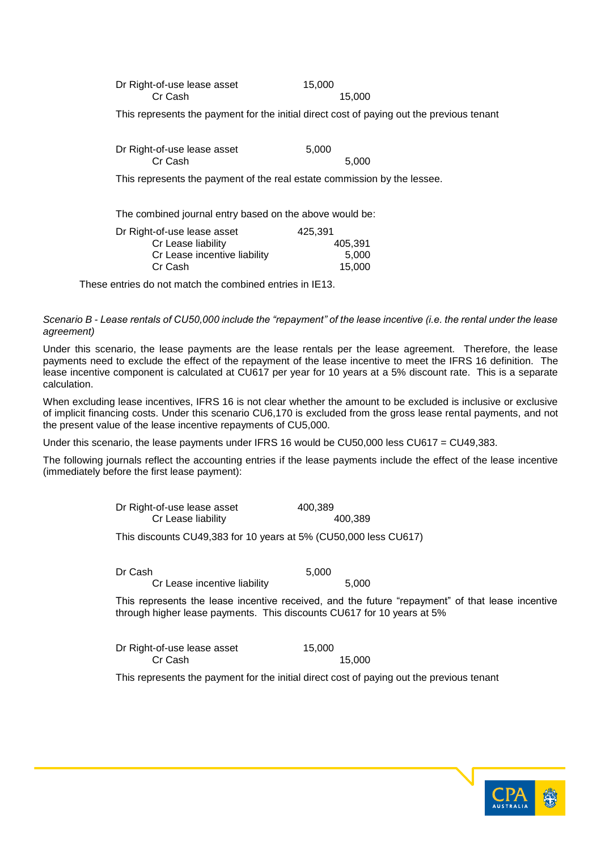| Dr Right-of-use lease asset | 15,000 |
|-----------------------------|--------|
| Cr Cash                     | 15,000 |

This represents the payment for the initial direct cost of paying out the previous tenant

| Dr Right-of-use lease asset | 5.000 |
|-----------------------------|-------|
| Cr Cash                     | 5.000 |

This represents the payment of the real estate commission by the lessee.

The combined journal entry based on the above would be:

| Dr Right-of-use lease asset  | 425.391 |
|------------------------------|---------|
| Cr Lease liability           | 405.391 |
| Cr Lease incentive liability | 5.000   |
| Cr Cash                      | 15,000  |
|                              |         |

These entries do not match the combined entries in IE13.

*Scenario B - Lease rentals of CU50,000 include the "repayment" of the lease incentive (i.e. the rental under the lease agreement)*

Under this scenario, the lease payments are the lease rentals per the lease agreement. Therefore, the lease payments need to exclude the effect of the repayment of the lease incentive to meet the IFRS 16 definition. The lease incentive component is calculated at CU617 per year for 10 years at a 5% discount rate. This is a separate calculation.

When excluding lease incentives, IFRS 16 is not clear whether the amount to be excluded is inclusive or exclusive of implicit financing costs. Under this scenario CU6,170 is excluded from the gross lease rental payments, and not the present value of the lease incentive repayments of CU5,000.

Under this scenario, the lease payments under IFRS 16 would be CU50,000 less CU617 = CU49,383.

The following journals reflect the accounting entries if the lease payments include the effect of the lease incentive (immediately before the first lease payment):

| Dr Right-of-use lease asset | 400,389 |
|-----------------------------|---------|
| Cr Lease liability          | 400,389 |

This discounts CU49,383 for 10 years at 5% (CU50,000 less CU617)

Dr Cash 5,000 Cr Lease incentive liability 5,000

This represents the lease incentive received, and the future "repayment" of that lease incentive through higher lease payments. This discounts CU617 for 10 years at 5%

| Dr Right-of-use lease asset | 15,000 |
|-----------------------------|--------|
| Cr Cash                     | 15,000 |

This represents the payment for the initial direct cost of paying out the previous tenant

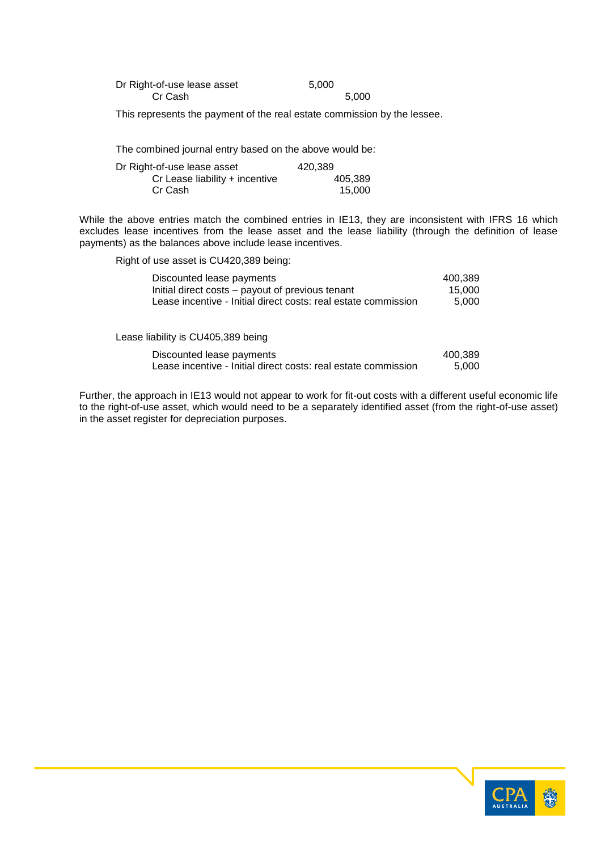| Dr Right-of-use lease asset | 5,000 |       |
|-----------------------------|-------|-------|
| Cr Cash                     |       | 5.000 |

This represents the payment of the real estate commission by the lessee.

The combined journal entry based on the above would be:

| Dr Right-of-use lease asset    | 420.389 |
|--------------------------------|---------|
| Cr Lease liability + incentive | 405.389 |
| Cr Cash                        | 15.000  |

While the above entries match the combined entries in IE13, they are inconsistent with IFRS 16 which excludes lease incentives from the lease asset and the lease liability (through the definition of lease payments) as the balances above include lease incentives.

Right of use asset is CU420,389 being:

| Discounted lease payments                                      | 400.389 |
|----------------------------------------------------------------|---------|
| Initial direct costs – payout of previous tenant               | 15.000  |
| Lease incentive - Initial direct costs: real estate commission | 5.000   |
|                                                                |         |
|                                                                |         |
| $\sim$ P. F. P. C. C. LIGE COOL.                               |         |

Lease liability is CU405,389 being

| Discounted lease payments                                      | 400,389 |
|----------------------------------------------------------------|---------|
| Lease incentive - Initial direct costs: real estate commission | 5,000   |

Further, the approach in IE13 would not appear to work for fit-out costs with a different useful economic life to the right-of-use asset, which would need to be a separately identified asset (from the right-of-use asset) in the asset register for depreciation purposes.

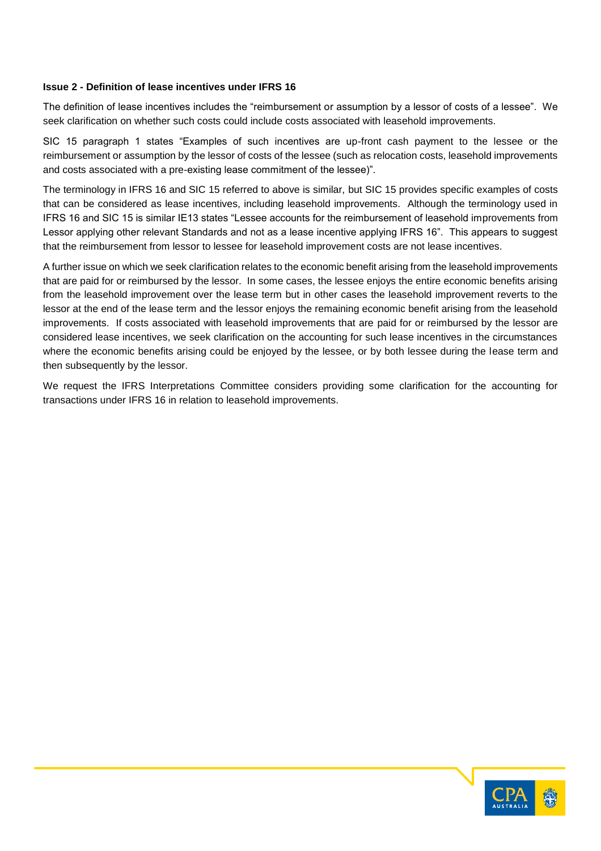## **Issue 2 - Definition of lease incentives under IFRS 16**

The definition of lease incentives includes the "reimbursement or assumption by a lessor of costs of a lessee". We seek clarification on whether such costs could include costs associated with leasehold improvements.

SIC 15 paragraph 1 states "Examples of such incentives are up-front cash payment to the lessee or the reimbursement or assumption by the lessor of costs of the lessee (such as relocation costs, leasehold improvements and costs associated with a pre-existing lease commitment of the lessee)".

The terminology in IFRS 16 and SIC 15 referred to above is similar, but SIC 15 provides specific examples of costs that can be considered as lease incentives, including leasehold improvements. Although the terminology used in IFRS 16 and SIC 15 is similar IE13 states "Lessee accounts for the reimbursement of leasehold improvements from Lessor applying other relevant Standards and not as a lease incentive applying IFRS 16". This appears to suggest that the reimbursement from lessor to lessee for leasehold improvement costs are not lease incentives.

A further issue on which we seek clarification relates to the economic benefit arising from the leasehold improvements that are paid for or reimbursed by the lessor. In some cases, the lessee enjoys the entire economic benefits arising from the leasehold improvement over the lease term but in other cases the leasehold improvement reverts to the lessor at the end of the lease term and the lessor enjoys the remaining economic benefit arising from the leasehold improvements. If costs associated with leasehold improvements that are paid for or reimbursed by the lessor are considered lease incentives, we seek clarification on the accounting for such lease incentives in the circumstances where the economic benefits arising could be enjoyed by the lessee, or by both lessee during the lease term and then subsequently by the lessor.

We request the IFRS Interpretations Committee considers providing some clarification for the accounting for transactions under IFRS 16 in relation to leasehold improvements.